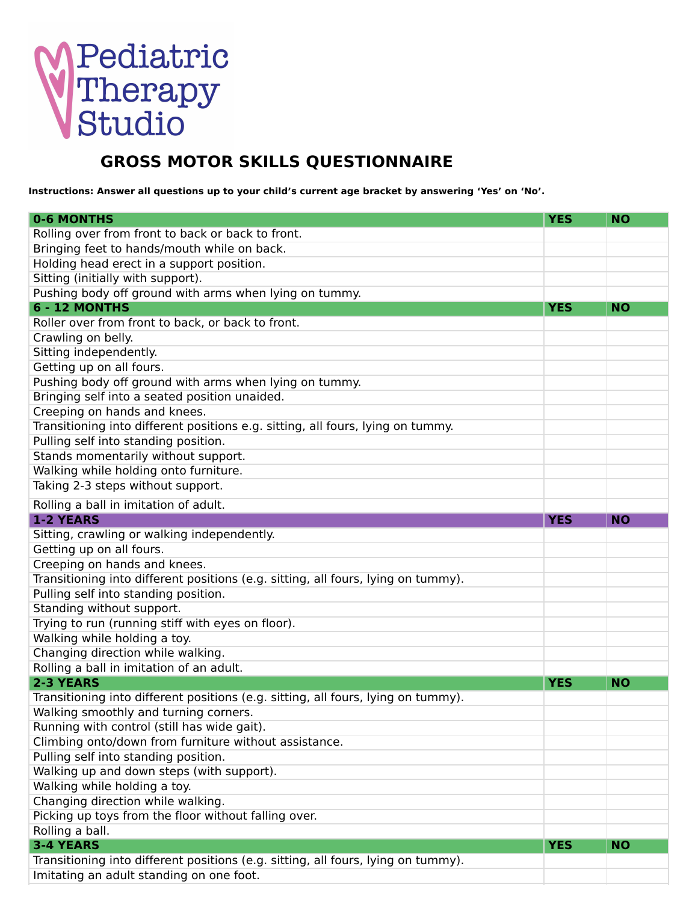## **Pediatric<br>Therapy<br>Studio**

## **GROSS MOTOR SKILLS QUESTIONNAIRE**

Instructions: Answer all questions up to your child's current age bracket by answering 'Yes' on 'No'.

| <b>0-6 MONTHS</b>                                                                 | <b>YES</b> | <b>NO</b> |
|-----------------------------------------------------------------------------------|------------|-----------|
| Rolling over from front to back or back to front.                                 |            |           |
| Bringing feet to hands/mouth while on back.                                       |            |           |
| Holding head erect in a support position.                                         |            |           |
| Sitting (initially with support).                                                 |            |           |
| Pushing body off ground with arms when lying on tummy.                            |            |           |
| 6 - 12 MONTHS                                                                     | <b>YES</b> | <b>NO</b> |
| Roller over from front to back, or back to front.                                 |            |           |
| Crawling on belly.                                                                |            |           |
| Sitting independently.                                                            |            |           |
| Getting up on all fours.                                                          |            |           |
| Pushing body off ground with arms when lying on tummy.                            |            |           |
| Bringing self into a seated position unaided.                                     |            |           |
| Creeping on hands and knees.                                                      |            |           |
| Transitioning into different positions e.g. sitting, all fours, lying on tummy.   |            |           |
| Pulling self into standing position.                                              |            |           |
| Stands momentarily without support.                                               |            |           |
| Walking while holding onto furniture.                                             |            |           |
| Taking 2-3 steps without support.                                                 |            |           |
| Rolling a ball in imitation of adult.                                             |            |           |
| <b>1-2 YEARS</b>                                                                  | <b>YES</b> | <b>NO</b> |
| Sitting, crawling or walking independently.                                       |            |           |
| Getting up on all fours.                                                          |            |           |
| Creeping on hands and knees.                                                      |            |           |
| Transitioning into different positions (e.g. sitting, all fours, lying on tummy). |            |           |
| Pulling self into standing position.                                              |            |           |
| Standing without support.                                                         |            |           |
| Trying to run (running stiff with eyes on floor).                                 |            |           |
| Walking while holding a toy.                                                      |            |           |
| Changing direction while walking.                                                 |            |           |
| Rolling a ball in imitation of an adult.                                          |            |           |
| 2-3 YEARS                                                                         | <b>YES</b> | <b>NO</b> |
| Transitioning into different positions (e.g. sitting, all fours, lying on tummy). |            |           |
| Walking smoothly and turning corners.                                             |            |           |
| Running with control (still has wide gait).                                       |            |           |
| Climbing onto/down from furniture without assistance.                             |            |           |
| Pulling self into standing position.                                              |            |           |
| Walking up and down steps (with support).                                         |            |           |
| Walking while holding a toy.                                                      |            |           |
| Changing direction while walking.                                                 |            |           |
| Picking up toys from the floor without falling over.                              |            |           |
| Rolling a ball.                                                                   |            |           |
| <b>3-4 YEARS</b>                                                                  | <b>YES</b> | <b>NO</b> |
| Transitioning into different positions (e.g. sitting, all fours, lying on tummy). |            |           |
| Imitating an adult standing on one foot.                                          |            |           |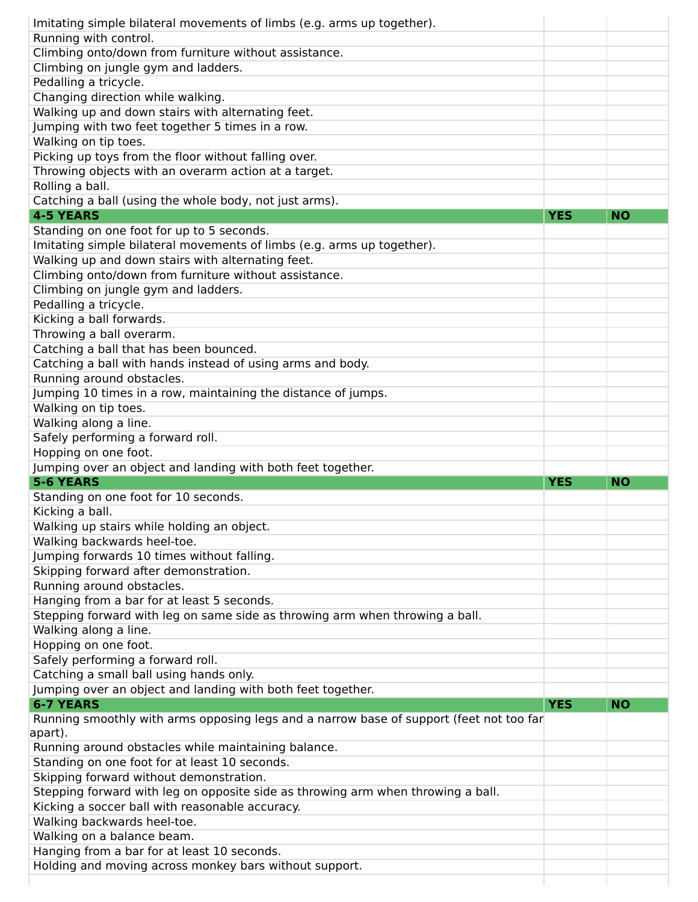| Imitating simple bilateral movements of limbs (e.g. arms up together).                                                                                                                                                                                                                                                                                                                                                                                                                                                                                                                                                                                                                                                                                                                                                                                                                                                                                                                                                                                                                                                                                                                                                                                                                                                                                                            |            |           |
|-----------------------------------------------------------------------------------------------------------------------------------------------------------------------------------------------------------------------------------------------------------------------------------------------------------------------------------------------------------------------------------------------------------------------------------------------------------------------------------------------------------------------------------------------------------------------------------------------------------------------------------------------------------------------------------------------------------------------------------------------------------------------------------------------------------------------------------------------------------------------------------------------------------------------------------------------------------------------------------------------------------------------------------------------------------------------------------------------------------------------------------------------------------------------------------------------------------------------------------------------------------------------------------------------------------------------------------------------------------------------------------|------------|-----------|
| Running with control.                                                                                                                                                                                                                                                                                                                                                                                                                                                                                                                                                                                                                                                                                                                                                                                                                                                                                                                                                                                                                                                                                                                                                                                                                                                                                                                                                             |            |           |
| Climbing onto/down from furniture without assistance.                                                                                                                                                                                                                                                                                                                                                                                                                                                                                                                                                                                                                                                                                                                                                                                                                                                                                                                                                                                                                                                                                                                                                                                                                                                                                                                             |            |           |
| Climbing on jungle gym and ladders.                                                                                                                                                                                                                                                                                                                                                                                                                                                                                                                                                                                                                                                                                                                                                                                                                                                                                                                                                                                                                                                                                                                                                                                                                                                                                                                                               |            |           |
| Pedalling a tricycle.                                                                                                                                                                                                                                                                                                                                                                                                                                                                                                                                                                                                                                                                                                                                                                                                                                                                                                                                                                                                                                                                                                                                                                                                                                                                                                                                                             |            |           |
| Changing direction while walking.                                                                                                                                                                                                                                                                                                                                                                                                                                                                                                                                                                                                                                                                                                                                                                                                                                                                                                                                                                                                                                                                                                                                                                                                                                                                                                                                                 |            |           |
| Walking up and down stairs with alternating feet.                                                                                                                                                                                                                                                                                                                                                                                                                                                                                                                                                                                                                                                                                                                                                                                                                                                                                                                                                                                                                                                                                                                                                                                                                                                                                                                                 |            |           |
|                                                                                                                                                                                                                                                                                                                                                                                                                                                                                                                                                                                                                                                                                                                                                                                                                                                                                                                                                                                                                                                                                                                                                                                                                                                                                                                                                                                   |            |           |
| Jumping with two feet together 5 times in a row.                                                                                                                                                                                                                                                                                                                                                                                                                                                                                                                                                                                                                                                                                                                                                                                                                                                                                                                                                                                                                                                                                                                                                                                                                                                                                                                                  |            |           |
| Walking on tip toes.                                                                                                                                                                                                                                                                                                                                                                                                                                                                                                                                                                                                                                                                                                                                                                                                                                                                                                                                                                                                                                                                                                                                                                                                                                                                                                                                                              |            |           |
| Picking up toys from the floor without falling over.                                                                                                                                                                                                                                                                                                                                                                                                                                                                                                                                                                                                                                                                                                                                                                                                                                                                                                                                                                                                                                                                                                                                                                                                                                                                                                                              |            |           |
| Throwing objects with an overarm action at a target.                                                                                                                                                                                                                                                                                                                                                                                                                                                                                                                                                                                                                                                                                                                                                                                                                                                                                                                                                                                                                                                                                                                                                                                                                                                                                                                              |            |           |
| Rolling a ball.                                                                                                                                                                                                                                                                                                                                                                                                                                                                                                                                                                                                                                                                                                                                                                                                                                                                                                                                                                                                                                                                                                                                                                                                                                                                                                                                                                   |            |           |
| Catching a ball (using the whole body, not just arms).                                                                                                                                                                                                                                                                                                                                                                                                                                                                                                                                                                                                                                                                                                                                                                                                                                                                                                                                                                                                                                                                                                                                                                                                                                                                                                                            |            |           |
| <b>4-5 YEARS</b>                                                                                                                                                                                                                                                                                                                                                                                                                                                                                                                                                                                                                                                                                                                                                                                                                                                                                                                                                                                                                                                                                                                                                                                                                                                                                                                                                                  | <b>YES</b> | <b>NO</b> |
| Standing on one foot for up to 5 seconds.                                                                                                                                                                                                                                                                                                                                                                                                                                                                                                                                                                                                                                                                                                                                                                                                                                                                                                                                                                                                                                                                                                                                                                                                                                                                                                                                         |            |           |
| Imitating simple bilateral movements of limbs (e.g. arms up together).                                                                                                                                                                                                                                                                                                                                                                                                                                                                                                                                                                                                                                                                                                                                                                                                                                                                                                                                                                                                                                                                                                                                                                                                                                                                                                            |            |           |
| Walking up and down stairs with alternating feet.                                                                                                                                                                                                                                                                                                                                                                                                                                                                                                                                                                                                                                                                                                                                                                                                                                                                                                                                                                                                                                                                                                                                                                                                                                                                                                                                 |            |           |
| Climbing onto/down from furniture without assistance.                                                                                                                                                                                                                                                                                                                                                                                                                                                                                                                                                                                                                                                                                                                                                                                                                                                                                                                                                                                                                                                                                                                                                                                                                                                                                                                             |            |           |
| Climbing on jungle gym and ladders.                                                                                                                                                                                                                                                                                                                                                                                                                                                                                                                                                                                                                                                                                                                                                                                                                                                                                                                                                                                                                                                                                                                                                                                                                                                                                                                                               |            |           |
| Pedalling a tricycle.                                                                                                                                                                                                                                                                                                                                                                                                                                                                                                                                                                                                                                                                                                                                                                                                                                                                                                                                                                                                                                                                                                                                                                                                                                                                                                                                                             |            |           |
| Kicking a ball forwards.                                                                                                                                                                                                                                                                                                                                                                                                                                                                                                                                                                                                                                                                                                                                                                                                                                                                                                                                                                                                                                                                                                                                                                                                                                                                                                                                                          |            |           |
| Throwing a ball overarm.                                                                                                                                                                                                                                                                                                                                                                                                                                                                                                                                                                                                                                                                                                                                                                                                                                                                                                                                                                                                                                                                                                                                                                                                                                                                                                                                                          |            |           |
| Catching a ball that has been bounced.                                                                                                                                                                                                                                                                                                                                                                                                                                                                                                                                                                                                                                                                                                                                                                                                                                                                                                                                                                                                                                                                                                                                                                                                                                                                                                                                            |            |           |
|                                                                                                                                                                                                                                                                                                                                                                                                                                                                                                                                                                                                                                                                                                                                                                                                                                                                                                                                                                                                                                                                                                                                                                                                                                                                                                                                                                                   |            |           |
| Catching a ball with hands instead of using arms and body.                                                                                                                                                                                                                                                                                                                                                                                                                                                                                                                                                                                                                                                                                                                                                                                                                                                                                                                                                                                                                                                                                                                                                                                                                                                                                                                        |            |           |
| Running around obstacles.                                                                                                                                                                                                                                                                                                                                                                                                                                                                                                                                                                                                                                                                                                                                                                                                                                                                                                                                                                                                                                                                                                                                                                                                                                                                                                                                                         |            |           |
| Jumping 10 times in a row, maintaining the distance of jumps.                                                                                                                                                                                                                                                                                                                                                                                                                                                                                                                                                                                                                                                                                                                                                                                                                                                                                                                                                                                                                                                                                                                                                                                                                                                                                                                     |            |           |
|                                                                                                                                                                                                                                                                                                                                                                                                                                                                                                                                                                                                                                                                                                                                                                                                                                                                                                                                                                                                                                                                                                                                                                                                                                                                                                                                                                                   |            |           |
|                                                                                                                                                                                                                                                                                                                                                                                                                                                                                                                                                                                                                                                                                                                                                                                                                                                                                                                                                                                                                                                                                                                                                                                                                                                                                                                                                                                   |            |           |
|                                                                                                                                                                                                                                                                                                                                                                                                                                                                                                                                                                                                                                                                                                                                                                                                                                                                                                                                                                                                                                                                                                                                                                                                                                                                                                                                                                                   |            |           |
|                                                                                                                                                                                                                                                                                                                                                                                                                                                                                                                                                                                                                                                                                                                                                                                                                                                                                                                                                                                                                                                                                                                                                                                                                                                                                                                                                                                   |            |           |
|                                                                                                                                                                                                                                                                                                                                                                                                                                                                                                                                                                                                                                                                                                                                                                                                                                                                                                                                                                                                                                                                                                                                                                                                                                                                                                                                                                                   |            |           |
|                                                                                                                                                                                                                                                                                                                                                                                                                                                                                                                                                                                                                                                                                                                                                                                                                                                                                                                                                                                                                                                                                                                                                                                                                                                                                                                                                                                   |            |           |
|                                                                                                                                                                                                                                                                                                                                                                                                                                                                                                                                                                                                                                                                                                                                                                                                                                                                                                                                                                                                                                                                                                                                                                                                                                                                                                                                                                                   | <b>YES</b> | <b>NO</b> |
|                                                                                                                                                                                                                                                                                                                                                                                                                                                                                                                                                                                                                                                                                                                                                                                                                                                                                                                                                                                                                                                                                                                                                                                                                                                                                                                                                                                   |            |           |
|                                                                                                                                                                                                                                                                                                                                                                                                                                                                                                                                                                                                                                                                                                                                                                                                                                                                                                                                                                                                                                                                                                                                                                                                                                                                                                                                                                                   |            |           |
|                                                                                                                                                                                                                                                                                                                                                                                                                                                                                                                                                                                                                                                                                                                                                                                                                                                                                                                                                                                                                                                                                                                                                                                                                                                                                                                                                                                   |            |           |
|                                                                                                                                                                                                                                                                                                                                                                                                                                                                                                                                                                                                                                                                                                                                                                                                                                                                                                                                                                                                                                                                                                                                                                                                                                                                                                                                                                                   |            |           |
|                                                                                                                                                                                                                                                                                                                                                                                                                                                                                                                                                                                                                                                                                                                                                                                                                                                                                                                                                                                                                                                                                                                                                                                                                                                                                                                                                                                   |            |           |
|                                                                                                                                                                                                                                                                                                                                                                                                                                                                                                                                                                                                                                                                                                                                                                                                                                                                                                                                                                                                                                                                                                                                                                                                                                                                                                                                                                                   |            |           |
|                                                                                                                                                                                                                                                                                                                                                                                                                                                                                                                                                                                                                                                                                                                                                                                                                                                                                                                                                                                                                                                                                                                                                                                                                                                                                                                                                                                   |            |           |
|                                                                                                                                                                                                                                                                                                                                                                                                                                                                                                                                                                                                                                                                                                                                                                                                                                                                                                                                                                                                                                                                                                                                                                                                                                                                                                                                                                                   |            |           |
|                                                                                                                                                                                                                                                                                                                                                                                                                                                                                                                                                                                                                                                                                                                                                                                                                                                                                                                                                                                                                                                                                                                                                                                                                                                                                                                                                                                   |            |           |
|                                                                                                                                                                                                                                                                                                                                                                                                                                                                                                                                                                                                                                                                                                                                                                                                                                                                                                                                                                                                                                                                                                                                                                                                                                                                                                                                                                                   |            |           |
|                                                                                                                                                                                                                                                                                                                                                                                                                                                                                                                                                                                                                                                                                                                                                                                                                                                                                                                                                                                                                                                                                                                                                                                                                                                                                                                                                                                   |            |           |
|                                                                                                                                                                                                                                                                                                                                                                                                                                                                                                                                                                                                                                                                                                                                                                                                                                                                                                                                                                                                                                                                                                                                                                                                                                                                                                                                                                                   |            |           |
|                                                                                                                                                                                                                                                                                                                                                                                                                                                                                                                                                                                                                                                                                                                                                                                                                                                                                                                                                                                                                                                                                                                                                                                                                                                                                                                                                                                   |            |           |
|                                                                                                                                                                                                                                                                                                                                                                                                                                                                                                                                                                                                                                                                                                                                                                                                                                                                                                                                                                                                                                                                                                                                                                                                                                                                                                                                                                                   |            |           |
|                                                                                                                                                                                                                                                                                                                                                                                                                                                                                                                                                                                                                                                                                                                                                                                                                                                                                                                                                                                                                                                                                                                                                                                                                                                                                                                                                                                   |            |           |
|                                                                                                                                                                                                                                                                                                                                                                                                                                                                                                                                                                                                                                                                                                                                                                                                                                                                                                                                                                                                                                                                                                                                                                                                                                                                                                                                                                                   | <b>YES</b> | <b>NO</b> |
|                                                                                                                                                                                                                                                                                                                                                                                                                                                                                                                                                                                                                                                                                                                                                                                                                                                                                                                                                                                                                                                                                                                                                                                                                                                                                                                                                                                   |            |           |
|                                                                                                                                                                                                                                                                                                                                                                                                                                                                                                                                                                                                                                                                                                                                                                                                                                                                                                                                                                                                                                                                                                                                                                                                                                                                                                                                                                                   |            |           |
|                                                                                                                                                                                                                                                                                                                                                                                                                                                                                                                                                                                                                                                                                                                                                                                                                                                                                                                                                                                                                                                                                                                                                                                                                                                                                                                                                                                   |            |           |
|                                                                                                                                                                                                                                                                                                                                                                                                                                                                                                                                                                                                                                                                                                                                                                                                                                                                                                                                                                                                                                                                                                                                                                                                                                                                                                                                                                                   |            |           |
|                                                                                                                                                                                                                                                                                                                                                                                                                                                                                                                                                                                                                                                                                                                                                                                                                                                                                                                                                                                                                                                                                                                                                                                                                                                                                                                                                                                   |            |           |
|                                                                                                                                                                                                                                                                                                                                                                                                                                                                                                                                                                                                                                                                                                                                                                                                                                                                                                                                                                                                                                                                                                                                                                                                                                                                                                                                                                                   |            |           |
|                                                                                                                                                                                                                                                                                                                                                                                                                                                                                                                                                                                                                                                                                                                                                                                                                                                                                                                                                                                                                                                                                                                                                                                                                                                                                                                                                                                   |            |           |
|                                                                                                                                                                                                                                                                                                                                                                                                                                                                                                                                                                                                                                                                                                                                                                                                                                                                                                                                                                                                                                                                                                                                                                                                                                                                                                                                                                                   |            |           |
|                                                                                                                                                                                                                                                                                                                                                                                                                                                                                                                                                                                                                                                                                                                                                                                                                                                                                                                                                                                                                                                                                                                                                                                                                                                                                                                                                                                   |            |           |
|                                                                                                                                                                                                                                                                                                                                                                                                                                                                                                                                                                                                                                                                                                                                                                                                                                                                                                                                                                                                                                                                                                                                                                                                                                                                                                                                                                                   |            |           |
| Walking on tip toes.<br>Walking along a line.<br>Safely performing a forward roll.<br>Hopping on one foot.<br>Jumping over an object and landing with both feet together.<br><b>5-6 YEARS</b><br>Standing on one foot for 10 seconds.<br>Kicking a ball.<br>Walking up stairs while holding an object.<br>Walking backwards heel-toe.<br>Jumping forwards 10 times without falling.<br>Skipping forward after demonstration.<br>Running around obstacles.<br>Hanging from a bar for at least 5 seconds.<br>Stepping forward with leg on same side as throwing arm when throwing a ball.<br>Walking along a line.<br>Hopping on one foot.<br>Safely performing a forward roll.<br>Catching a small ball using hands only.<br>Jumping over an object and landing with both feet together.<br><b>6-7 YEARS</b><br>Running smoothly with arms opposing legs and a narrow base of support (feet not too far<br>apart).<br>Running around obstacles while maintaining balance.<br>Standing on one foot for at least 10 seconds.<br>Skipping forward without demonstration.<br>Stepping forward with leg on opposite side as throwing arm when throwing a ball.<br>Kicking a soccer ball with reasonable accuracy.<br>Walking backwards heel-toe.<br>Walking on a balance beam.<br>Hanging from a bar for at least 10 seconds.<br>Holding and moving across monkey bars without support. |            |           |